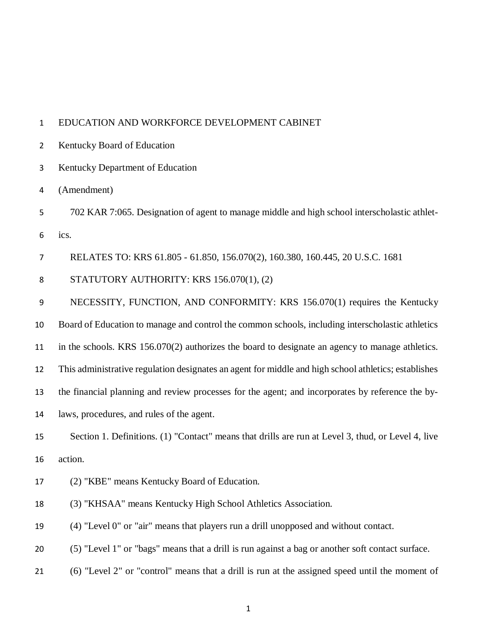#### EDUCATION AND WORKFORCE DEVELOPMENT CABINET

Kentucky Board of Education

Kentucky Department of Education

(Amendment)

 702 KAR 7:065. Designation of agent to manage middle and high school interscholastic athlet-ics.

RELATES TO: KRS 61.805 - 61.850, 156.070(2), 160.380, 160.445, 20 U.S.C. 1681

8 STATUTORY AUTHORITY: KRS 156.070(1), (2)

NECESSITY, FUNCTION, AND CONFORMITY: KRS 156.070(1) requires the Kentucky

Board of Education to manage and control the common schools, including interscholastic athletics

in the schools. KRS 156.070(2) authorizes the board to designate an agency to manage athletics.

This administrative regulation designates an agent for middle and high school athletics; establishes

the financial planning and review processes for the agent; and incorporates by reference the by-

laws, procedures, and rules of the agent.

# Section 1. Definitions. (1) "Contact" means that drills are run at Level 3, thud, or Level 4, live action.

- (2) "KBE" means Kentucky Board of Education.
- (3) "KHSAA" means Kentucky High School Athletics Association.

(4) "Level 0" or "air" means that players run a drill unopposed and without contact.

(5) "Level 1" or "bags" means that a drill is run against a bag or another soft contact surface.

(6) "Level 2" or "control" means that a drill is run at the assigned speed until the moment of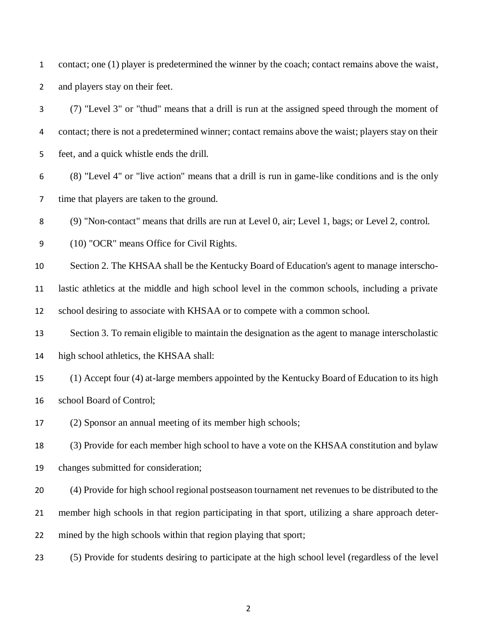contact; one (1) player is predetermined the winner by the coach; contact remains above the waist, and players stay on their feet.

 (7) "Level 3" or "thud" means that a drill is run at the assigned speed through the moment of contact; there is not a predetermined winner; contact remains above the waist; players stay on their feet, and a quick whistle ends the drill.

 (8) "Level 4" or "live action" means that a drill is run in game-like conditions and is the only time that players are taken to the ground.

(9) "Non-contact" means that drills are run at Level 0, air; Level 1, bags; or Level 2, control.

(10) "OCR" means Office for Civil Rights.

Section 2. The KHSAA shall be the Kentucky Board of Education's agent to manage interscho-

 lastic athletics at the middle and high school level in the common schools, including a private school desiring to associate with KHSAA or to compete with a common school.

 Section 3. To remain eligible to maintain the designation as the agent to manage interscholastic high school athletics, the KHSAA shall:

 (1) Accept four (4) at-large members appointed by the Kentucky Board of Education to its high school Board of Control;

(2) Sponsor an annual meeting of its member high schools;

 (3) Provide for each member high school to have a vote on the KHSAA constitution and bylaw changes submitted for consideration;

 (4) Provide for high school regional postseason tournament net revenues to be distributed to the member high schools in that region participating in that sport, utilizing a share approach deter-mined by the high schools within that region playing that sport;

(5) Provide for students desiring to participate at the high school level (regardless of the level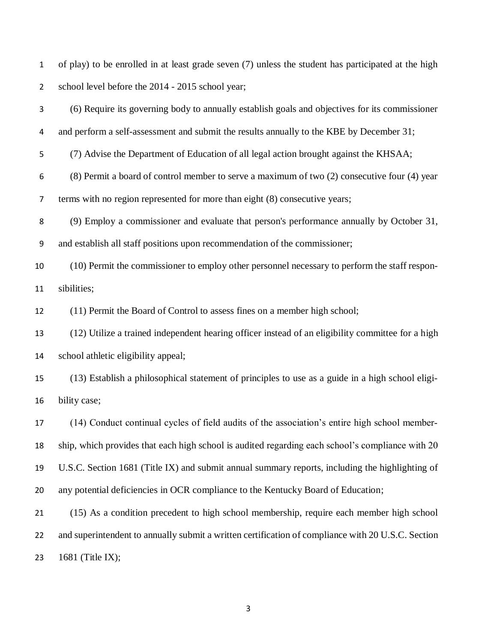of play) to be enrolled in at least grade seven (7) unless the student has participated at the high 2 school level before the 2014 - 2015 school year;

 (6) Require its governing body to annually establish goals and objectives for its commissioner 4 and perform a self-assessment and submit the results annually to the KBE by December 31; (7) Advise the Department of Education of all legal action brought against the KHSAA; (8) Permit a board of control member to serve a maximum of two (2) consecutive four (4) year terms with no region represented for more than eight (8) consecutive years; (9) Employ a commissioner and evaluate that person's performance annually by October 31, and establish all staff positions upon recommendation of the commissioner; (10) Permit the commissioner to employ other personnel necessary to perform the staff respon- sibilities; (11) Permit the Board of Control to assess fines on a member high school; (12) Utilize a trained independent hearing officer instead of an eligibility committee for a high school athletic eligibility appeal; (13) Establish a philosophical statement of principles to use as a guide in a high school eligi- bility case; (14) Conduct continual cycles of field audits of the association's entire high school member- ship, which provides that each high school is audited regarding each school's compliance with 20 U.S.C. Section 1681 (Title IX) and submit annual summary reports, including the highlighting of any potential deficiencies in OCR compliance to the Kentucky Board of Education;

 (15) As a condition precedent to high school membership, require each member high school 22 and superintendent to annually submit a written certification of compliance with 20 U.S.C. Section 1681 (Title IX);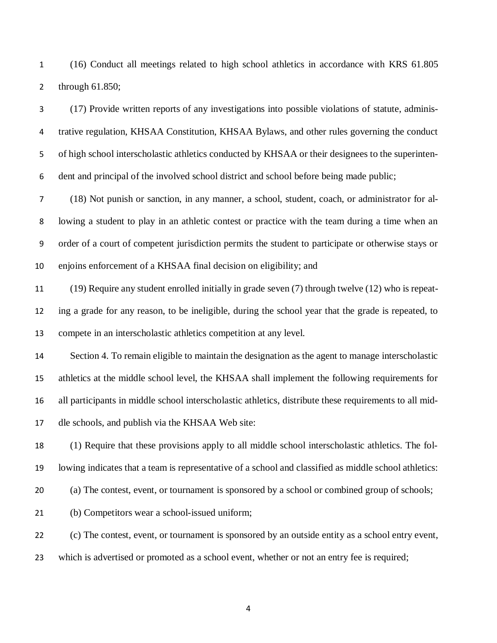(16) Conduct all meetings related to high school athletics in accordance with KRS 61.805 through 61.850;

 (17) Provide written reports of any investigations into possible violations of statute, adminis- trative regulation, KHSAA Constitution, KHSAA Bylaws, and other rules governing the conduct of high school interscholastic athletics conducted by KHSAA or their designees to the superinten- dent and principal of the involved school district and school before being made public; (18) Not punish or sanction, in any manner, a school, student, coach, or administrator for al- lowing a student to play in an athletic contest or practice with the team during a time when an order of a court of competent jurisdiction permits the student to participate or otherwise stays or enjoins enforcement of a KHSAA final decision on eligibility; and (19) Require any student enrolled initially in grade seven (7) through twelve (12) who is repeat- ing a grade for any reason, to be ineligible, during the school year that the grade is repeated, to compete in an interscholastic athletics competition at any level. Section 4. To remain eligible to maintain the designation as the agent to manage interscholastic athletics at the middle school level, the KHSAA shall implement the following requirements for all participants in middle school interscholastic athletics, distribute these requirements to all mid- dle schools, and publish via the KHSAA Web site: (1) Require that these provisions apply to all middle school interscholastic athletics. The fol-

 lowing indicates that a team is representative of a school and classified as middle school athletics: (a) The contest, event, or tournament is sponsored by a school or combined group of schools;

(b) Competitors wear a school-issued uniform;

(c) The contest, event, or tournament is sponsored by an outside entity as a school entry event,

which is advertised or promoted as a school event, whether or not an entry fee is required;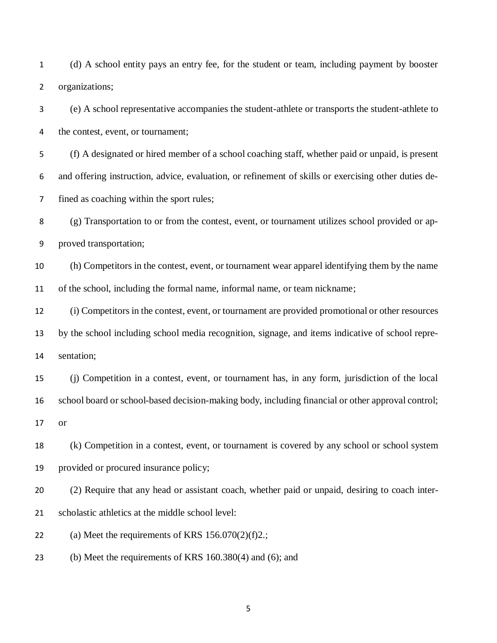(d) A school entity pays an entry fee, for the student or team, including payment by booster organizations;

 (e) A school representative accompanies the student-athlete or transports the student-athlete to the contest, event, or tournament;

 (f) A designated or hired member of a school coaching staff, whether paid or unpaid, is present and offering instruction, advice, evaluation, or refinement of skills or exercising other duties de-fined as coaching within the sport rules;

 (g) Transportation to or from the contest, event, or tournament utilizes school provided or ap-proved transportation;

 (h) Competitors in the contest, event, or tournament wear apparel identifying them by the name of the school, including the formal name, informal name, or team nickname;

 (i) Competitors in the contest, event, or tournament are provided promotional or other resources by the school including school media recognition, signage, and items indicative of school repre-sentation;

 (j) Competition in a contest, event, or tournament has, in any form, jurisdiction of the local school board or school-based decision-making body, including financial or other approval control; or

 (k) Competition in a contest, event, or tournament is covered by any school or school system provided or procured insurance policy;

 (2) Require that any head or assistant coach, whether paid or unpaid, desiring to coach inter-scholastic athletics at the middle school level:

22 (a) Meet the requirements of KRS  $156.070(2)(f)2$ .;

(b) Meet the requirements of KRS 160.380(4) and (6); and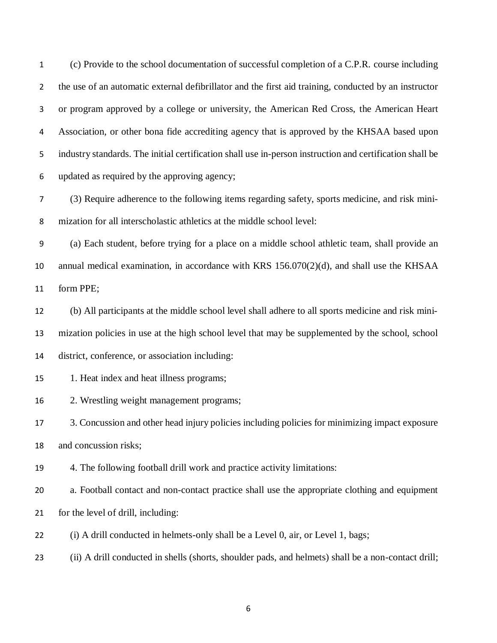(c) Provide to the school documentation of successful completion of a C.P.R. course including the use of an automatic external defibrillator and the first aid training, conducted by an instructor or program approved by a college or university, the American Red Cross, the American Heart Association, or other bona fide accrediting agency that is approved by the KHSAA based upon industry standards. The initial certification shall use in-person instruction and certification shall be updated as required by the approving agency;

 (3) Require adherence to the following items regarding safety, sports medicine, and risk mini-mization for all interscholastic athletics at the middle school level:

 (a) Each student, before trying for a place on a middle school athletic team, shall provide an annual medical examination, in accordance with KRS 156.070(2)(d), and shall use the KHSAA form PPE;

 (b) All participants at the middle school level shall adhere to all sports medicine and risk mini- mization policies in use at the high school level that may be supplemented by the school, school district, conference, or association including:

#### 1. Heat index and heat illness programs;

2. Wrestling weight management programs;

 3. Concussion and other head injury policies including policies for minimizing impact exposure and concussion risks;

4. The following football drill work and practice activity limitations:

a. Football contact and non-contact practice shall use the appropriate clothing and equipment

for the level of drill, including:

(i) A drill conducted in helmets-only shall be a Level 0, air, or Level 1, bags;

(ii) A drill conducted in shells (shorts, shoulder pads, and helmets) shall be a non-contact drill;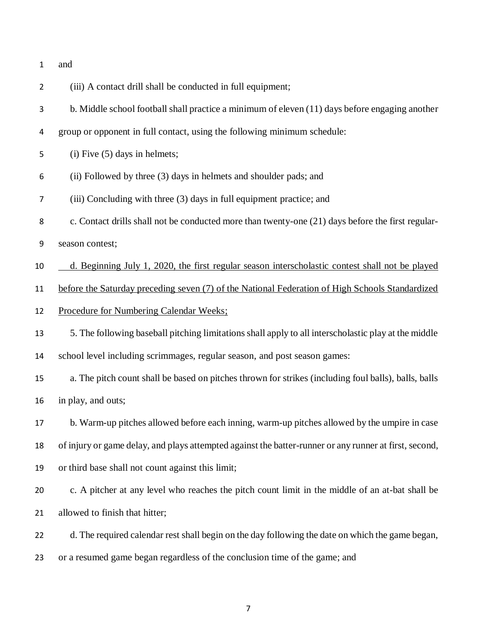| and |
|-----|
|     |

| $\overline{2}$ | (iii) A contact drill shall be conducted in full equipment;                                            |
|----------------|--------------------------------------------------------------------------------------------------------|
| 3              | b. Middle school football shall practice a minimum of eleven (11) days before engaging another         |
| 4              | group or opponent in full contact, using the following minimum schedule:                               |
| 5              | $(i)$ Five $(5)$ days in helmets;                                                                      |
| 6              | (ii) Followed by three (3) days in helmets and shoulder pads; and                                      |
| 7              | (iii) Concluding with three (3) days in full equipment practice; and                                   |
| 8              | c. Contact drills shall not be conducted more than twenty-one (21) days before the first regular-      |
| 9              | season contest;                                                                                        |
| 10             | d. Beginning July 1, 2020, the first regular season interscholastic contest shall not be played        |
| 11             | before the Saturday preceding seven (7) of the National Federation of High Schools Standardized        |
| 12             | Procedure for Numbering Calendar Weeks;                                                                |
| 13             | 5. The following baseball pitching limitations shall apply to all interscholastic play at the middle   |
| 14             | school level including scrimmages, regular season, and post season games:                              |
| 15             | a. The pitch count shall be based on pitches thrown for strikes (including foul balls), balls, balls   |
| 16             | in play, and outs;                                                                                     |
| 17             | b. Warm-up pitches allowed before each inning, warm-up pitches allowed by the umpire in case           |
| 18             | of injury or game delay, and plays attempted against the batter-runner or any runner at first, second, |
| 19             | or third base shall not count against this limit;                                                      |
| 20             | c. A pitcher at any level who reaches the pitch count limit in the middle of an at-bat shall be        |
| 21             | allowed to finish that hitter;                                                                         |
| 22             | d. The required calendar rest shall begin on the day following the date on which the game began,       |
| 23             | or a resumed game began regardless of the conclusion time of the game; and                             |
|                |                                                                                                        |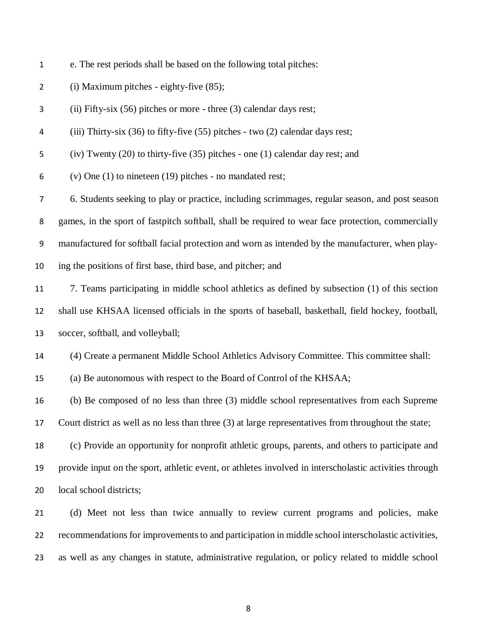- e. The rest periods shall be based on the following total pitches:
- (i) Maximum pitches eighty-five (85);
- (ii) Fifty-six (56) pitches or more three (3) calendar days rest;
- (iii) Thirty-six (36) to fifty-five (55) pitches two (2) calendar days rest;
- (iv) Twenty (20) to thirty-five (35) pitches one (1) calendar day rest; and
- (v) One (1) to nineteen (19) pitches no mandated rest;

 6. Students seeking to play or practice, including scrimmages, regular season, and post season games, in the sport of fastpitch softball, shall be required to wear face protection, commercially manufactured for softball facial protection and worn as intended by the manufacturer, when play-ing the positions of first base, third base, and pitcher; and

- 7. Teams participating in middle school athletics as defined by subsection (1) of this section shall use KHSAA licensed officials in the sports of baseball, basketball, field hockey, football, soccer, softball, and volleyball;
- (4) Create a permanent Middle School Athletics Advisory Committee. This committee shall:
- (a) Be autonomous with respect to the Board of Control of the KHSAA;

(b) Be composed of no less than three (3) middle school representatives from each Supreme

Court district as well as no less than three (3) at large representatives from throughout the state;

 (c) Provide an opportunity for nonprofit athletic groups, parents, and others to participate and provide input on the sport, athletic event, or athletes involved in interscholastic activities through local school districts;

 (d) Meet not less than twice annually to review current programs and policies, make recommendations for improvements to and participation in middle school interscholastic activities, as well as any changes in statute, administrative regulation, or policy related to middle school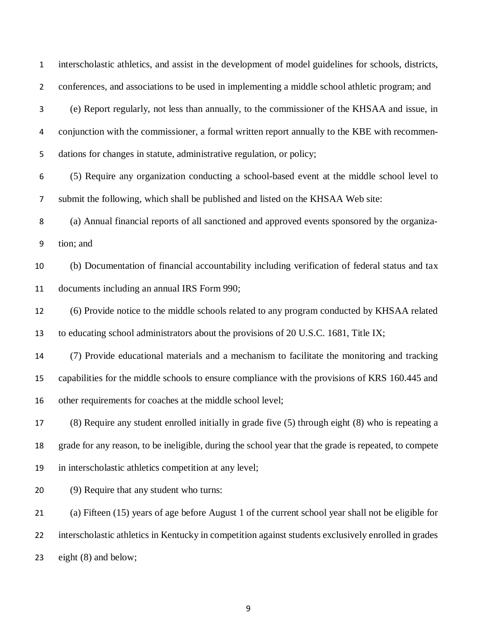interscholastic athletics, and assist in the development of model guidelines for schools, districts, conferences, and associations to be used in implementing a middle school athletic program; and (e) Report regularly, not less than annually, to the commissioner of the KHSAA and issue, in conjunction with the commissioner, a formal written report annually to the KBE with recommen- dations for changes in statute, administrative regulation, or policy; (5) Require any organization conducting a school-based event at the middle school level to submit the following, which shall be published and listed on the KHSAA Web site: (a) Annual financial reports of all sanctioned and approved events sponsored by the organiza- tion; and (b) Documentation of financial accountability including verification of federal status and tax documents including an annual IRS Form 990; (6) Provide notice to the middle schools related to any program conducted by KHSAA related to educating school administrators about the provisions of 20 U.S.C. 1681, Title IX; (7) Provide educational materials and a mechanism to facilitate the monitoring and tracking capabilities for the middle schools to ensure compliance with the provisions of KRS 160.445 and other requirements for coaches at the middle school level; (8) Require any student enrolled initially in grade five (5) through eight (8) who is repeating a grade for any reason, to be ineligible, during the school year that the grade is repeated, to compete in interscholastic athletics competition at any level; (9) Require that any student who turns: (a) Fifteen (15) years of age before August 1 of the current school year shall not be eligible for interscholastic athletics in Kentucky in competition against students exclusively enrolled in grades eight (8) and below;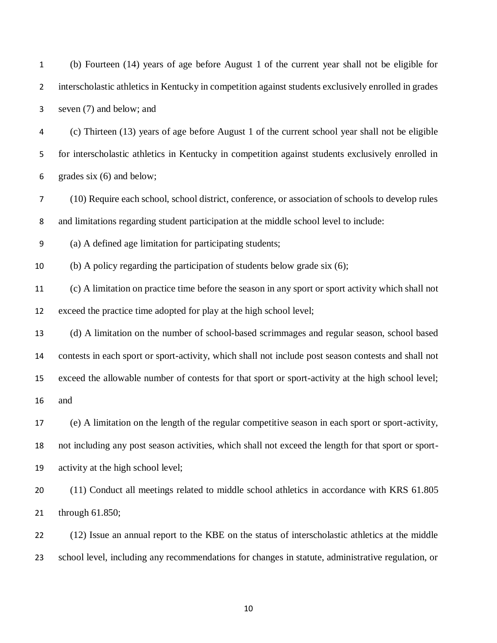| $\mathbf{1}$   | (b) Fourteen (14) years of age before August 1 of the current year shall not be eligible for         |
|----------------|------------------------------------------------------------------------------------------------------|
| $\overline{2}$ | interscholastic athletics in Kentucky in competition against students exclusively enrolled in grades |
| 3              | seven (7) and below; and                                                                             |
| 4              | (c) Thirteen (13) years of age before August 1 of the current school year shall not be eligible      |
| 5              | for interscholastic athletics in Kentucky in competition against students exclusively enrolled in    |
| 6              | grades six $(6)$ and below;                                                                          |
| 7              | (10) Require each school, school district, conference, or association of schools to develop rules    |
| 8              | and limitations regarding student participation at the middle school level to include:               |
| 9              | (a) A defined age limitation for participating students;                                             |
| $10\,$         | (b) A policy regarding the participation of students below grade six $(6)$ ;                         |
| 11             | (c) A limitation on practice time before the season in any sport or sport activity which shall not   |
| 12             | exceed the practice time adopted for play at the high school level;                                  |
| 13             | (d) A limitation on the number of school-based scrimmages and regular season, school based           |
| 14             | contests in each sport or sport-activity, which shall not include post season contests and shall not |
| 15             | exceed the allowable number of contests for that sport or sport-activity at the high school level;   |
| 16             | and                                                                                                  |
| 17             | (e) A limitation on the length of the regular competitive season in each sport or sport-activity,    |
| 18             | not including any post season activities, which shall not exceed the length for that sport or sport- |
| 19             | activity at the high school level;                                                                   |
| 20             | (11) Conduct all meetings related to middle school athletics in accordance with KRS 61.805           |
| 21             | through $61.850$ ;                                                                                   |
| 22             | (12) Issue an annual report to the KBE on the status of interscholastic athletics at the middle      |
| 23             | school level, including any recommendations for changes in statute, administrative regulation, or    |
|                |                                                                                                      |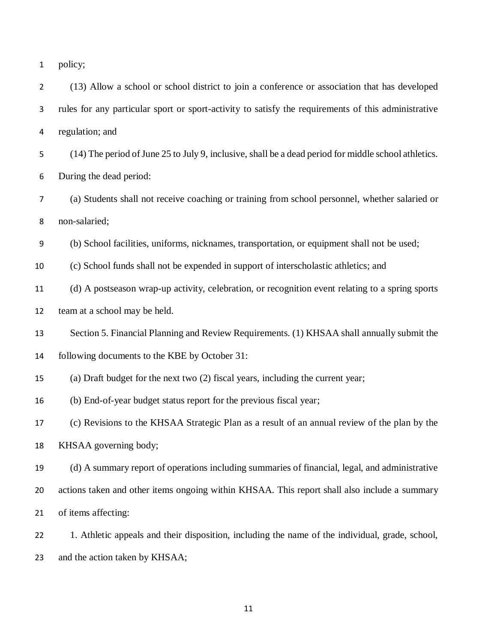| policy; |
|---------|
|         |

 (13) Allow a school or school district to join a conference or association that has developed rules for any particular sport or sport-activity to satisfy the requirements of this administrative regulation; and

 (14) The period of June 25 to July 9, inclusive, shall be a dead period for middle school athletics. During the dead period:

 (a) Students shall not receive coaching or training from school personnel, whether salaried or non-salaried;

(b) School facilities, uniforms, nicknames, transportation, or equipment shall not be used;

(c) School funds shall not be expended in support of interscholastic athletics; and

 (d) A postseason wrap-up activity, celebration, or recognition event relating to a spring sports team at a school may be held.

Section 5. Financial Planning and Review Requirements. (1) KHSAA shall annually submit the

following documents to the KBE by October 31:

(a) Draft budget for the next two (2) fiscal years, including the current year;

(b) End-of-year budget status report for the previous fiscal year;

(c) Revisions to the KHSAA Strategic Plan as a result of an annual review of the plan by the

KHSAA governing body;

 (d) A summary report of operations including summaries of financial, legal, and administrative actions taken and other items ongoing within KHSAA. This report shall also include a summary of items affecting:

 1. Athletic appeals and their disposition, including the name of the individual, grade, school, and the action taken by KHSAA;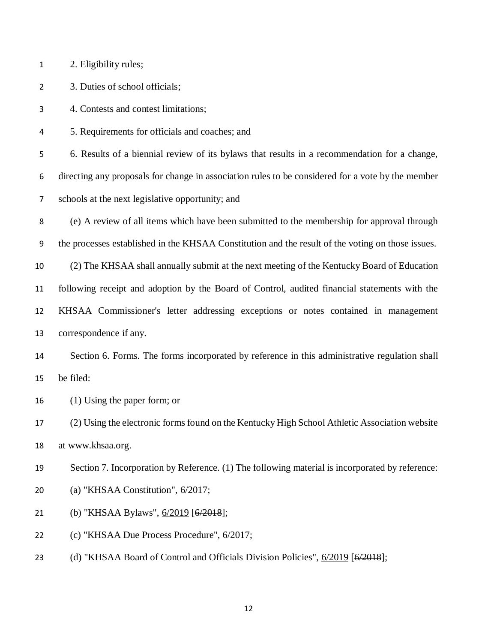| 2. Eligibility rules;<br>1 |  |
|----------------------------|--|
|----------------------------|--|

3. Duties of school officials;

4. Contests and contest limitations;

5. Requirements for officials and coaches; and

6. Results of a biennial review of its bylaws that results in a recommendation for a change,

directing any proposals for change in association rules to be considered for a vote by the member

schools at the next legislative opportunity; and

 (e) A review of all items which have been submitted to the membership for approval through the processes established in the KHSAA Constitution and the result of the voting on those issues.

 (2) The KHSAA shall annually submit at the next meeting of the Kentucky Board of Education following receipt and adoption by the Board of Control, audited financial statements with the KHSAA Commissioner's letter addressing exceptions or notes contained in management correspondence if any.

 Section 6. Forms. The forms incorporated by reference in this administrative regulation shall be filed:

(1) Using the paper form; or

 (2) Using the electronic forms found on the Kentucky High School Athletic Association website at www.khsaa.org.

Section 7. Incorporation by Reference. (1) The following material is incorporated by reference:

(a) "KHSAA Constitution", 6/2017;

21 (b) "KHSAA Bylaws", <u>6/2019</u> [<del>6/2018</del>];

(c) "KHSAA Due Process Procedure", 6/2017;

23 (d) "KHSAA Board of Control and Officials Division Policies",  $6/2019$  [6/2018];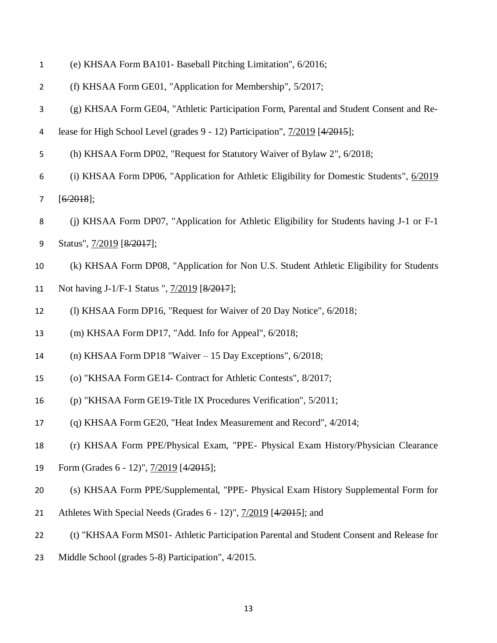| $\mathbf{1}$   | (e) KHSAA Form BA101- Baseball Pitching Limitation", 6/2016;                              |
|----------------|-------------------------------------------------------------------------------------------|
| $\overline{2}$ | (f) KHSAA Form GE01, "Application for Membership", 5/2017;                                |
| 3              | (g) KHSAA Form GE04, "Athletic Participation Form, Parental and Student Consent and Re-   |
| 4              | lease for High School Level (grades 9 - 12) Participation", 7/2019 [4/2015];              |
| 5              | (h) KHSAA Form DP02, "Request for Statutory Waiver of Bylaw 2", 6/2018;                   |
| 6              | (i) KHSAA Form DP06, "Application for Athletic Eligibility for Domestic Students", 6/2019 |
| $\overline{7}$ | $[6/2018]$ ;                                                                              |
| 8              | (j) KHSAA Form DP07, "Application for Athletic Eligibility for Students having J-1 or F-1 |
| 9              | Status", 7/2019 [8/2017];                                                                 |
| 10             | (k) KHSAA Form DP08, "Application for Non U.S. Student Athletic Eligibility for Students  |
| 11             | Not having J-1/F-1 Status ", 7/2019 [8/2017];                                             |
| 12             | (1) KHSAA Form DP16, "Request for Waiver of 20 Day Notice", 6/2018;                       |
| 13             | (m) KHSAA Form DP17, "Add. Info for Appeal", 6/2018;                                      |
| 14             | (n) KHSAA Form DP18 "Waiver $-15$ Day Exceptions", $6/2018$ ;                             |
| 15             | (o) "KHSAA Form GE14- Contract for Athletic Contests", 8/2017;                            |
| 16             | (p) "KHSAA Form GE19-Title IX Procedures Verification", 5/2011;                           |
| 17             | (q) KHSAA Form GE20, "Heat Index Measurement and Record", 4/2014;                         |
| 18             | (r) KHSAA Form PPE/Physical Exam, "PPE- Physical Exam History/Physician Clearance         |
| 19             | Form (Grades 6 - 12)", $\frac{7}{2019}$ [4/2015];                                         |
| 20             | (s) KHSAA Form PPE/Supplemental, "PPE- Physical Exam History Supplemental Form for        |
| 21             | Athletes With Special Needs (Grades 6 - 12)", 7/2019 [4/2015]; and                        |
| 22             | (t) "KHSAA Form MS01- Athletic Participation Parental and Student Consent and Release for |
| 23             | Middle School (grades 5-8) Participation", 4/2015.                                        |
|                |                                                                                           |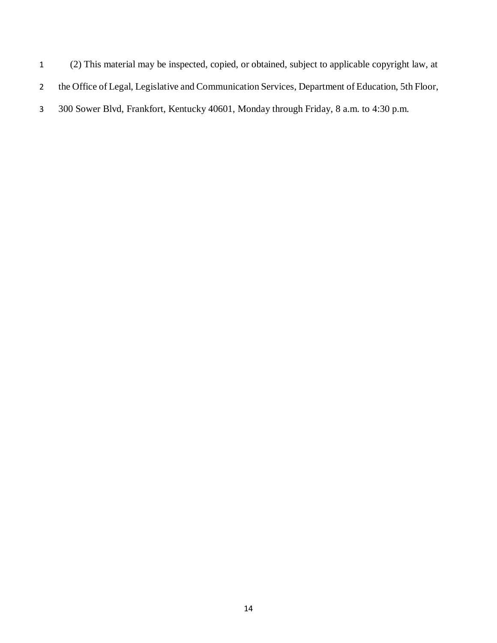(2) This material may be inspected, copied, or obtained, subject to applicable copyright law, at the Office of Legal, Legislative and Communication Services, Department of Education, 5th Floor, 300 Sower Blvd, Frankfort, Kentucky 40601, Monday through Friday, 8 a.m. to 4:30 p.m.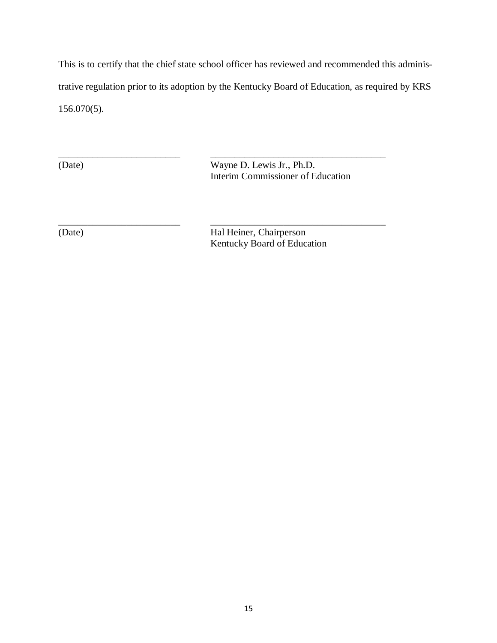This is to certify that the chief state school officer has reviewed and recommended this administrative regulation prior to its adoption by the Kentucky Board of Education, as required by KRS 156.070(5).

\_\_\_\_\_\_\_\_\_\_\_\_\_\_\_\_\_\_\_\_\_\_\_\_\_ \_\_\_\_\_\_\_\_\_\_\_\_\_\_\_\_\_\_\_\_\_\_\_\_\_\_\_\_\_\_\_\_\_\_\_\_

\_\_\_\_\_\_\_\_\_\_\_\_\_\_\_\_\_\_\_\_\_\_\_\_\_ \_\_\_\_\_\_\_\_\_\_\_\_\_\_\_\_\_\_\_\_\_\_\_\_\_\_\_\_\_\_\_\_\_\_\_\_ (Date) Wayne D. Lewis Jr., Ph.D. Interim Commissioner of Education

(Date) Hal Heiner, Chairperson Kentucky Board of Education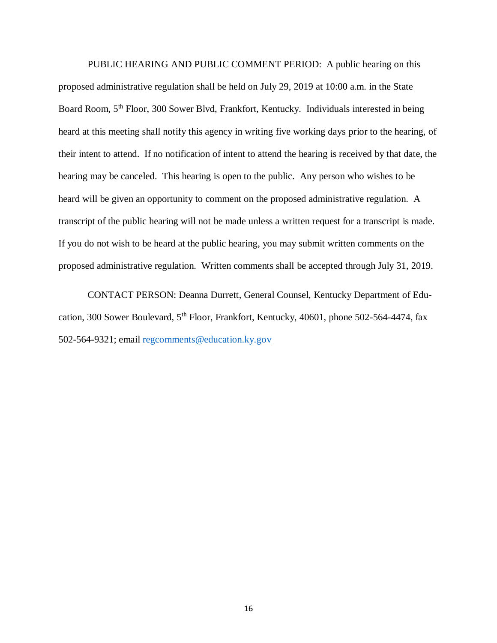PUBLIC HEARING AND PUBLIC COMMENT PERIOD: A public hearing on this proposed administrative regulation shall be held on July 29, 2019 at 10:00 a.m. in the State Board Room, 5<sup>th</sup> Floor, 300 Sower Blvd, Frankfort, Kentucky. Individuals interested in being heard at this meeting shall notify this agency in writing five working days prior to the hearing, of their intent to attend. If no notification of intent to attend the hearing is received by that date, the hearing may be canceled. This hearing is open to the public. Any person who wishes to be heard will be given an opportunity to comment on the proposed administrative regulation. A transcript of the public hearing will not be made unless a written request for a transcript is made. If you do not wish to be heard at the public hearing, you may submit written comments on the proposed administrative regulation. Written comments shall be accepted through July 31, 2019.

CONTACT PERSON: Deanna Durrett, General Counsel, Kentucky Department of Education, 300 Sower Boulevard, 5<sup>th</sup> Floor, Frankfort, Kentucky, 40601, phone 502-564-4474, fax 502-564-9321; email [regcomments@education.ky.gov](mailto:regcomments@education.ky.gov)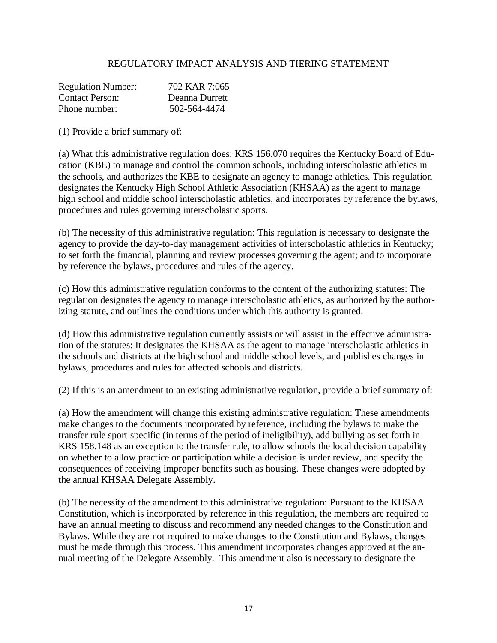## REGULATORY IMPACT ANALYSIS AND TIERING STATEMENT

| <b>Regulation Number:</b> | 702 KAR 7:065  |
|---------------------------|----------------|
| Contact Person:           | Deanna Durrett |
| Phone number:             | 502-564-4474   |

(1) Provide a brief summary of:

(a) What this administrative regulation does: KRS 156.070 requires the Kentucky Board of Education (KBE) to manage and control the common schools, including interscholastic athletics in the schools, and authorizes the KBE to designate an agency to manage athletics. This regulation designates the Kentucky High School Athletic Association (KHSAA) as the agent to manage high school and middle school interscholastic athletics, and incorporates by reference the bylaws, procedures and rules governing interscholastic sports.

(b) The necessity of this administrative regulation: This regulation is necessary to designate the agency to provide the day-to-day management activities of interscholastic athletics in Kentucky; to set forth the financial, planning and review processes governing the agent; and to incorporate by reference the bylaws, procedures and rules of the agency.

(c) How this administrative regulation conforms to the content of the authorizing statutes: The regulation designates the agency to manage interscholastic athletics, as authorized by the authorizing statute, and outlines the conditions under which this authority is granted.

(d) How this administrative regulation currently assists or will assist in the effective administration of the statutes: It designates the KHSAA as the agent to manage interscholastic athletics in the schools and districts at the high school and middle school levels, and publishes changes in bylaws, procedures and rules for affected schools and districts.

(2) If this is an amendment to an existing administrative regulation, provide a brief summary of:

(a) How the amendment will change this existing administrative regulation: These amendments make changes to the documents incorporated by reference, including the bylaws to make the transfer rule sport specific (in terms of the period of ineligibility), add bullying as set forth in KRS 158.148 as an exception to the transfer rule, to allow schools the local decision capability on whether to allow practice or participation while a decision is under review, and specify the consequences of receiving improper benefits such as housing. These changes were adopted by the annual KHSAA Delegate Assembly.

(b) The necessity of the amendment to this administrative regulation: Pursuant to the KHSAA Constitution, which is incorporated by reference in this regulation, the members are required to have an annual meeting to discuss and recommend any needed changes to the Constitution and Bylaws. While they are not required to make changes to the Constitution and Bylaws, changes must be made through this process. This amendment incorporates changes approved at the annual meeting of the Delegate Assembly. This amendment also is necessary to designate the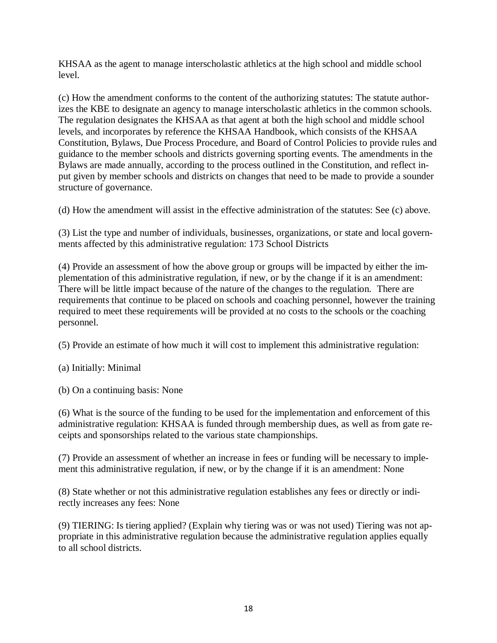KHSAA as the agent to manage interscholastic athletics at the high school and middle school level.

(c) How the amendment conforms to the content of the authorizing statutes: The statute authorizes the KBE to designate an agency to manage interscholastic athletics in the common schools. The regulation designates the KHSAA as that agent at both the high school and middle school levels, and incorporates by reference the KHSAA Handbook, which consists of the KHSAA Constitution, Bylaws, Due Process Procedure, and Board of Control Policies to provide rules and guidance to the member schools and districts governing sporting events. The amendments in the Bylaws are made annually, according to the process outlined in the Constitution, and reflect input given by member schools and districts on changes that need to be made to provide a sounder structure of governance.

(d) How the amendment will assist in the effective administration of the statutes: See (c) above.

(3) List the type and number of individuals, businesses, organizations, or state and local governments affected by this administrative regulation: 173 School Districts

(4) Provide an assessment of how the above group or groups will be impacted by either the implementation of this administrative regulation, if new, or by the change if it is an amendment: There will be little impact because of the nature of the changes to the regulation. There are requirements that continue to be placed on schools and coaching personnel, however the training required to meet these requirements will be provided at no costs to the schools or the coaching personnel.

(5) Provide an estimate of how much it will cost to implement this administrative regulation:

(a) Initially: Minimal

(b) On a continuing basis: None

(6) What is the source of the funding to be used for the implementation and enforcement of this administrative regulation: KHSAA is funded through membership dues, as well as from gate receipts and sponsorships related to the various state championships.

(7) Provide an assessment of whether an increase in fees or funding will be necessary to implement this administrative regulation, if new, or by the change if it is an amendment: None

(8) State whether or not this administrative regulation establishes any fees or directly or indirectly increases any fees: None

(9) TIERING: Is tiering applied? (Explain why tiering was or was not used) Tiering was not appropriate in this administrative regulation because the administrative regulation applies equally to all school districts.